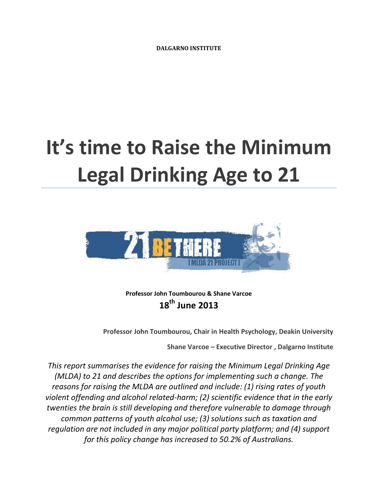# **It's time to Raise the Minimum Legal Drinking Age to 21**



**Professor John Toumbourou & Shane Varcoe 18th June 2013**

**Professor John Toumbourou, Chair in Health Psychology, Deakin University**

**Shane Varcoe – Executive Director , Dalgarno Institute**

*This report summarises the evidence for raising the Minimum Legal Drinking Age (MLDA) to 21 and describes the options for implementing such a change. The reasons for raising the MLDA are outlined and include: (1) rising rates of youth violent offending and alcohol related-harm; (2) scientific evidence that in the early twenties the brain is still developing and therefore vulnerable to damage through common patterns of youth alcohol use; (3) solutions such as taxation and regulation are not included in any major political party platform; and (4) support for this policy change has increased to 50.2% of Australians.*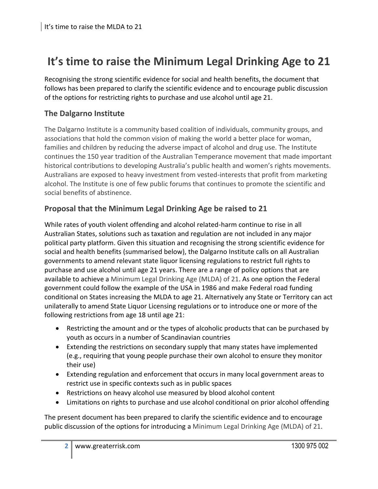## **It's time to raise the Minimum Legal Drinking Age to 21**

Recognising the strong scientific evidence for social and health benefits, the document that follows has been prepared to clarify the scientific evidence and to encourage public discussion of the options for restricting rights to purchase and use alcohol until age 21.

#### **The Dalgarno Institute**

The Dalgarno Institute is a community based coalition of individuals, community groups, and associations that hold the common vision of making the world a better place for woman, families and children by reducing the adverse impact of alcohol and drug use. The Institute continues the 150 year tradition of the Australian Temperance movement that made important historical contributions to developing Australia's public health and women's rights movements. Australians are exposed to heavy investment from vested-interests that profit from marketing alcohol. The Institute is one of few public forums that continues to promote the scientific and social benefits of abstinence.

#### **Proposal that the Minimum Legal Drinking Age be raised to 21**

While rates of youth violent offending and alcohol related-harm continue to rise in all Australian States, solutions such as taxation and regulation are not included in any major political party platform. Given this situation and recognising the strong scientific evidence for social and health benefits (summarised below), the Dalgarno Institute calls on all Australian governments to amend relevant state liquor licensing regulations to restrict full rights to purchase and use alcohol until age 21 years. There are a range of policy options that are available to achieve a Minimum Legal Drinking Age (MLDA) of 21. As one option the Federal government could follow the example of the USA in 1986 and make Federal road funding conditional on States increasing the MLDA to age 21. Alternatively any State or Territory can act unilaterally to amend State Liquor Licensing regulations or to introduce one or more of the following restrictions from age 18 until age 21:

- Restricting the amount and or the types of alcoholic products that can be purchased by youth as occurs in a number of Scandinavian countries
- Extending the restrictions on secondary supply that many states have implemented (e.g., requiring that young people purchase their own alcohol to ensure they monitor their use)
- Extending regulation and enforcement that occurs in many local government areas to restrict use in specific contexts such as in public spaces
- Restrictions on heavy alcohol use measured by blood alcohol content
- Limitations on rights to purchase and use alcohol conditional on prior alcohol offending

The present document has been prepared to clarify the scientific evidence and to encourage public discussion of the options for introducing a Minimum Legal Drinking Age (MLDA) of 21.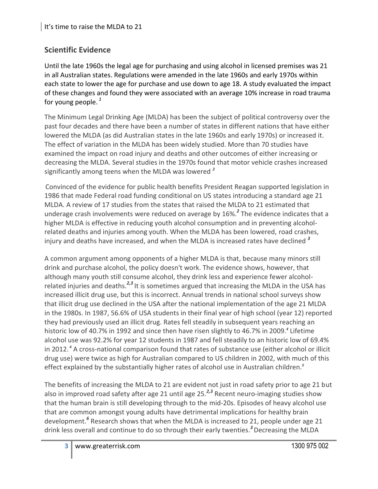### **Scientific Evidence**

Until the late 1960s the legal age for purchasing and using alcohol in licensed premises was 21 in all Australian states. Regulations were amended in the late 1960s and early 1970s within each state to lower the age for purchase and use down to age 18. A study evaluated the impact of these changes and found they were associated with an average 10% increase in road trauma for young people. *1*

The Minimum Legal Drinking Age (MLDA) has been the subject of political controversy over the past four decades and there have been a number of states in different nations that have either lowered the MLDA (as did Australian states in the late 1960s and early 1970s) or increased it. The effect of variation in the MLDA has been widely studied. More than 70 studies have examined the impact on road injury and deaths and other outcomes of either increasing or decreasing the MLDA. Several studies in the 1970s found that motor vehicle crashes increased significantly among teens when the MLDA was lowered *<sup>2</sup>*

Convinced of the evidence for public health benefits President Reagan supported legislation in 1986 that made Federal road funding conditional on US states introducing a standard age 21 MLDA. A review of 17 studies from the states that raised the MLDA to 21 estimated that underage crash involvements were reduced on average by 16%.*<sup>2</sup>* The evidence indicates that a higher MLDA is effective in reducing youth alcohol consumption and in preventing alcoholrelated deaths and injuries among youth. When the MLDA has been lowered, road crashes, injury and deaths have increased, and when the MLDA is increased rates have declined *<sup>3</sup>*

A common argument among opponents of a higher MLDA is that, because many minors still drink and purchase alcohol, the policy doesn't work. The evidence shows, however, that although many youth still consume alcohol, they drink less and experience fewer alcoholrelated injuries and deaths.<sup>2,3</sup> It is sometimes argued that increasing the MLDA in the USA has increased illicit drug use, but this is incorrect. Annual trends in national school surveys show that illicit drug use declined in the USA after the national implementation of the age 21 MLDA in the 1980s. In 1987, 56.6% of USA students in their final year of high school (year 12) reported they had previously used an illicit drug. Rates fell steadily in subsequent years reaching an historic low of 40.7% in 1992 and since then have risen slightly to 46.7% in 2009. *4* Lifetime alcohol use was 92.2% for year 12 students in 1987 and fell steadily to an historic low of 69.4% in 2012. *<sup>4</sup>* A cross-national comparison found that rates of substance use (either alcohol or illicit drug use) were twice as high for Australian compared to US children in 2002, with much of this effect explained by the substantially higher rates of alcohol use in Australian children. *5*

The benefits of increasing the MLDA to 21 are evident not just in road safety prior to age 21 but also in improved road safety after age 21 until age 25.*2,3* Recent neuro-imaging studies show that the human brain is still developing through to the mid-20s. Episodes of heavy alcohol use that are common amongst young adults have detrimental implications for healthy brain development.*<sup>6</sup>* Research shows that when the MLDA is increased to 21, people under age 21 drink less overall and continue to do so through their early twenties. *<sup>3</sup>*Decreasing the MLDA